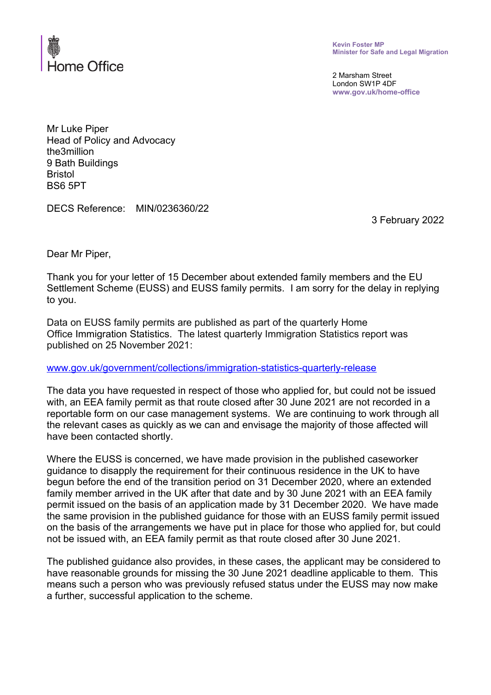

**Kevin Foster MP Minister for Safe and Legal Migration**

2 Marsham Street London SW1P 4DF **www.gov.uk/home-office**

Mr Luke Piper Head of Policy and Advocacy the3million 9 Bath Buildings Bristol BS6 5PT

DECS Reference: MIN/0236360/22

3 February 2022

Dear Mr Piper,

Thank you for your letter of 15 December about extended family members and the EU Settlement Scheme (EUSS) and EUSS family permits. I am sorry for the delay in replying to you.

Data on EUSS family permits are published as part of the quarterly Home Office Immigration Statistics. The latest quarterly Immigration Statistics report was published on 25 November 2021:

[www.gov.uk/government/collections/immigration-statistics-quarterly-release](http://www.gov.uk/government/collections/immigration-statistics-quarterly-release)

The data you have requested in respect of those who applied for, but could not be issued with, an EEA family permit as that route closed after 30 June 2021 are not recorded in a reportable form on our case management systems. We are continuing to work through all the relevant cases as quickly as we can and envisage the majority of those affected will have been contacted shortly.

Where the EUSS is concerned, we have made provision in the published caseworker guidance to disapply the requirement for their continuous residence in the UK to have begun before the end of the transition period on 31 December 2020, where an extended family member arrived in the UK after that date and by 30 June 2021 with an EEA family permit issued on the basis of an application made by 31 December 2020. We have made the same provision in the published guidance for those with an EUSS family permit issued on the basis of the arrangements we have put in place for those who applied for, but could not be issued with, an EEA family permit as that route closed after 30 June 2021.

The published guidance also provides, in these cases, the applicant may be considered to have reasonable grounds for missing the 30 June 2021 deadline applicable to them. This means such a person who was previously refused status under the EUSS may now make a further, successful application to the scheme.